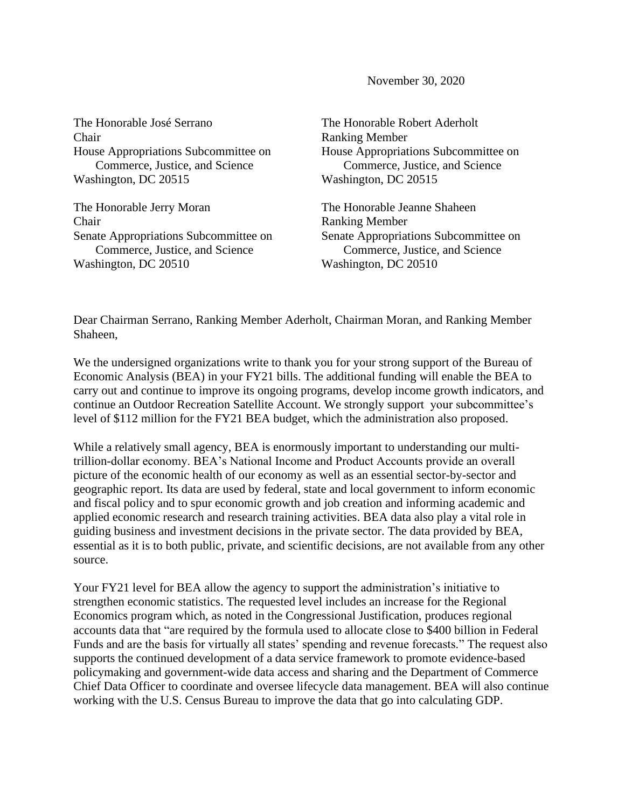November 30, 2020

The Honorable José Serrano Chair House Appropriations Subcommittee on Commerce, Justice, and Science Washington, DC 20515

The Honorable Jerry Moran Chair Senate Appropriations Subcommittee on Commerce, Justice, and Science Washington, DC 20510

The Honorable Robert Aderholt Ranking Member House Appropriations Subcommittee on Commerce, Justice, and Science Washington, DC 20515

The Honorable Jeanne Shaheen Ranking Member Senate Appropriations Subcommittee on Commerce, Justice, and Science Washington, DC 20510

Dear Chairman Serrano, Ranking Member Aderholt, Chairman Moran, and Ranking Member Shaheen,

We the undersigned organizations write to thank you for your strong support of the Bureau of Economic Analysis (BEA) in your FY21 bills. The additional funding will enable the BEA to carry out and continue to improve its ongoing programs, develop income growth indicators, and continue an Outdoor Recreation Satellite Account. We strongly support your subcommittee's level of \$112 million for the FY21 BEA budget, which the administration also proposed.

While a relatively small agency, BEA is enormously important to understanding our multitrillion-dollar economy. BEA's National Income and Product Accounts provide an overall picture of the economic health of our economy as well as an essential sector-by-sector and geographic report. Its data are used by federal, state and local government to inform economic and fiscal policy and to spur economic growth and job creation and informing academic and applied economic research and research training activities. BEA data also play a vital role in guiding business and investment decisions in the private sector. The data provided by BEA, essential as it is to both public, private, and scientific decisions, are not available from any other source.

Your FY21 level for BEA allow the agency to support the administration's initiative to strengthen economic statistics. The requested level includes an increase for the Regional Economics program which, as noted in the Congressional Justification, produces regional accounts data that "are required by the formula used to allocate close to \$400 billion in Federal Funds and are the basis for virtually all states' spending and revenue forecasts." The request also supports the continued development of a data service framework to promote evidence-based policymaking and government-wide data access and sharing and the Department of Commerce Chief Data Officer to coordinate and oversee lifecycle data management. BEA will also continue working with the U.S. Census Bureau to improve the data that go into calculating GDP.